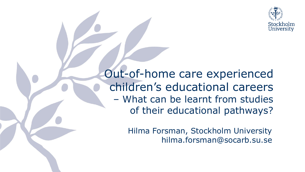

Out-of-home care experienced children's educational careers – What can be learnt from studies of their educational pathways?

> Hilma Forsman, Stockholm University hilma.forsman@socarb.su.se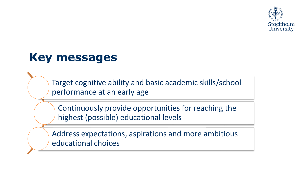

#### **Key messages**

Target cognitive ability and basic academic skills/school performance at an early age

Continuously provide opportunities for reaching the highest (possible) educational levels

Address expectations, aspirations and more ambitious educational choices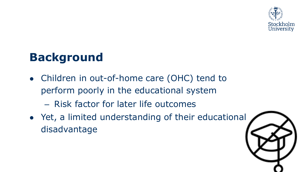

## **Background**

- Children in out-of-home care (OHC) tend to perform poorly in the educational system
	- Risk factor for later life outcomes
- Yet, a limited understanding of their educational disadvantage

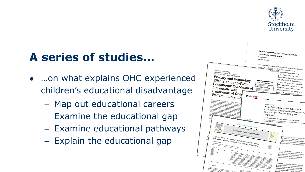

# **A series of studies…**

- …on what explains OHC experienced children's educational disadvantage
	- Map out educational careers
	- Examine the educational gap
	- Examine educational pathways
	- Explain the educational gap

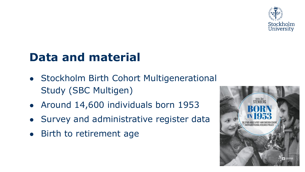

### **Data and material**

- Stockholm Birth Cohort Multigenerational Study (SBC Multigen)
- Around 14,600 individuals born 1953
- Survey and administrative register data
- Birth to retirement age

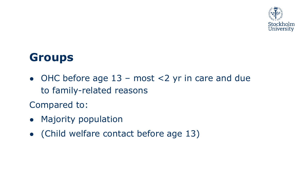

#### **Groups**

 $\bullet$  OHC before age 13 – most <2 yr in care and due to family-related reasons

Compared to:

- Majority population
- (Child welfare contact before age 13)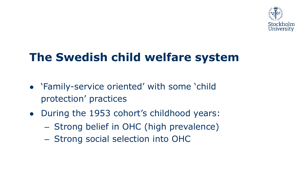

# **The Swedish child welfare system**

- 'Family-service oriented' with some 'child protection' practices
- During the 1953 cohort's childhood years:
	- Strong belief in OHC (high prevalence)
	- Strong social selection into OHC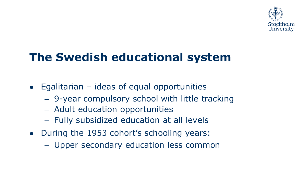

# **The Swedish educational system**

- $\bullet$  Egalitarian ideas of equal opportunities
	- 9-year compulsory school with little tracking
	- Adult education opportunities
	- Fully subsidized education at all levels
- During the 1953 cohort's schooling years:
	- Upper secondary education less common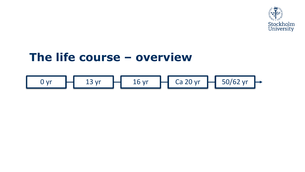

#### **The life course – overview**

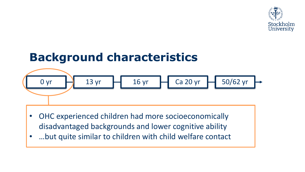

# **Background characteristics**



- OHC experienced children had more socioeconomically disadvantaged backgrounds and lower cognitive ability
- …but quite similar to children with child welfare contact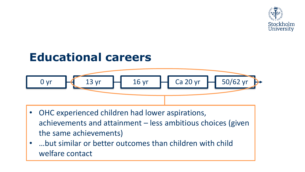

# **Educational careers** 0 yr 13 yr 16 yr Ca 20 yr 50/62 yr

- OHC experienced children had lower aspirations, achievements and attainment – less ambitious choices (given the same achievements)
- …but similar or better outcomes than children with child welfare contact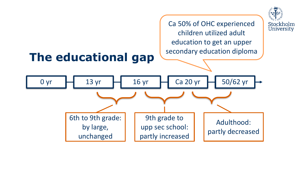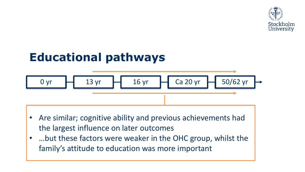

## **Educational pathways**



- Are similar; cognitive ability and previous achievements had the largest influence on later outcomes
- …but these factors were weaker in the OHC group, whilst the family's attitude to education was more important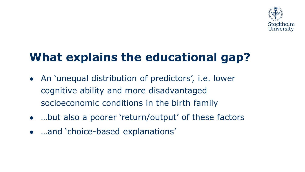

# **What explains the educational gap?**

- An 'unequal distribution of predictors', i.e. lower cognitive ability and more disadvantaged socioeconomic conditions in the birth family
- …but also a poorer 'return/output' of these factors
- …and 'choice-based explanations'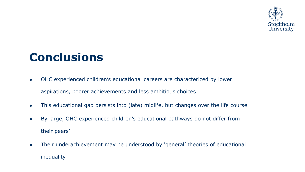

### **Conclusions**

- OHC experienced children's educational careers are characterized by lower aspirations, poorer achievements and less ambitious choices
- This educational gap persists into (late) midlife, but changes over the life course
- By large, OHC experienced children's educational pathways do not differ from their peers'
- Their underachievement may be understood by 'general' theories of educational inequality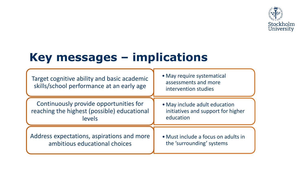

## **Key messages – implications**

| Target cognitive ability and basic academic<br>skills/school performance at an early age | • May require systematical<br>assessments and more<br>intervention studies |
|------------------------------------------------------------------------------------------|----------------------------------------------------------------------------|
| Continuously provide opportunities for                                                   | • May include adult education                                              |
| reaching the highest (possible) educational                                              | initiatives and support for higher                                         |
| levels                                                                                   | education                                                                  |
| Address expectations, aspirations and more                                               | • Must include a focus on adults in                                        |
| ambitious educational choices                                                            | the 'surrounding' systems                                                  |